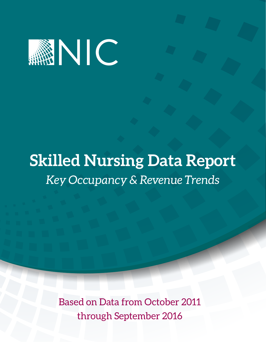

# **Skilled Nursing Data Report** *Key Occupancy & Revenue Trends*

Based on Data from October 2011 through September 2016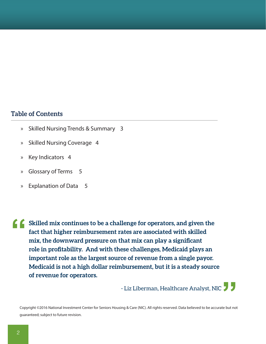### **Table of Contents**

- » Skilled Nursing Trends & Summary 3
- » Skilled Nursing Coverage 4
- » Key Indicators 4
- » Glossary of Terms 5
- » Explanation of Data 5

**Skilled mix continues to be a challenge for operators, and given the fact that higher reimbursement rates are associated with skilled mix, the downward pressure on that mix can play a significant role in profitability. And with these challenges, Medicaid plays an important role as the largest source of revenue from a single payor. Medicaid is not a high dollar reimbursement, but it is a steady source of revenue for operators. "**

- Liz Liberman, Healthcare Analyst, NIC **"**

Copyright ©2016 National Investment Center for Seniors Housing & Care (NIC). All rights reserved. Data believed to be accurate but not guaranteed; subject to future revision.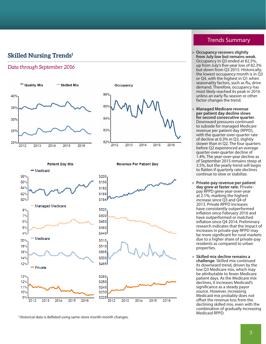### **Skilled Nursing Trends 1**

### *Data through September 2016*





**Patient Day Mix** 



<sup>1</sup> Historical data is deflated using same-store month-month changes.

### **Revenue Per Patient Day**

# properties.

» **Skilled mix decline remains a challenge**. Skilled mix continued its downward trend, driven by the low Q3 Medicare mix, which may be attributable to fewer Medicare patient days. As the Medicare mix declines, it increases Medicaid's significance as a steady payor source. However, increasing Medicaid mix probably does not offset the revenue loss from the

Medicaid RPPD.

» **Occupancy recovers slightly from July low but remains weak**. Occupancy in Q3 ended at 82.5%, up from July's five-year low of 82.3% but down from Q3 2015. Historically, the lowest occupancy month is in Q3 or Q4, with the highest in Q1 when seasonality factors, such as flu, drive demand. Therefore, occupancy has most likely reached its peak in 2016 unless an early flu season or other factor changes the trend.

- » **Managed Medicare revenue per patient day decline slows for second consecutive quarter**. Downward pressures continued to subside for managed Medicare revenue per patient day (RPPD), with the quarter-over-quarter rate of decline at 0.3% in Q3, slightly slower than in Q2. The four quarters before Q2 experienced an average quarter-over-quarter decline of 1.4%. The year-over-year decline as of September 2015 remains steep at 3.5%, but the yearly trend will begin to flatten if quarterly rate declines continue to slow or stabilize.
- » **Private-pay revenue per patient day grew at faster rate.** Privatepay RPPD grew year-over-year at 2.1%, marking the highest increase since Q3 and Q4 of 2013. Private RPPD increases have consistently outperformed inflation since February 2016 and have outperformed or matched inflation since Q4 2014. Preliminary research indicates that the impact of increases in private-pay RPPD may be more significant for rural markets due to a higher share of private-pay residents as compared to urban

declining skilled mix, even with the combination of gradually increasing

3

### Trends Summary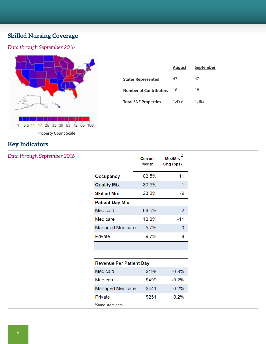# **Skilled Nursing Coverage**

# *Data through September 2016*



|                               | August | September |
|-------------------------------|--------|-----------|
| <b>States Represented</b>     | 47     | 47        |
| <b>Number of Contributors</b> | 18     | 18        |
| <b>Total SNF Properties</b>   | 1,499  | 1,483     |

Property Count Scale

# **Key Indicators**

### *Data through September 2016*

| <b>Current</b><br><b>Month</b>  | 2<br>Mo./Mo.<br>Chg (bps) |
|---------------------------------|---------------------------|
| 82.5%                           | 11                        |
| 33.5%                           | $-1$                      |
| 23.8%                           | -9                        |
|                                 |                           |
| 66.5%                           | 2                         |
| 12.8%                           | -11                       |
| 5.7%<br><b>Managed Medicare</b> | O                         |
| 9.7%                            | 8                         |
|                                 |                           |

| <b>Revenue Per Patient Day</b> |       |          |  |
|--------------------------------|-------|----------|--|
| Medicaid                       | \$198 | $-0.3\%$ |  |
| Medicare                       | \$499 | $-0.2\%$ |  |
| <b>Managed Medicare</b>        | \$441 | $-0.2\%$ |  |
| Private                        | \$251 | $0.2\%$  |  |
| <sup>2</sup> Same-store data   |       |          |  |